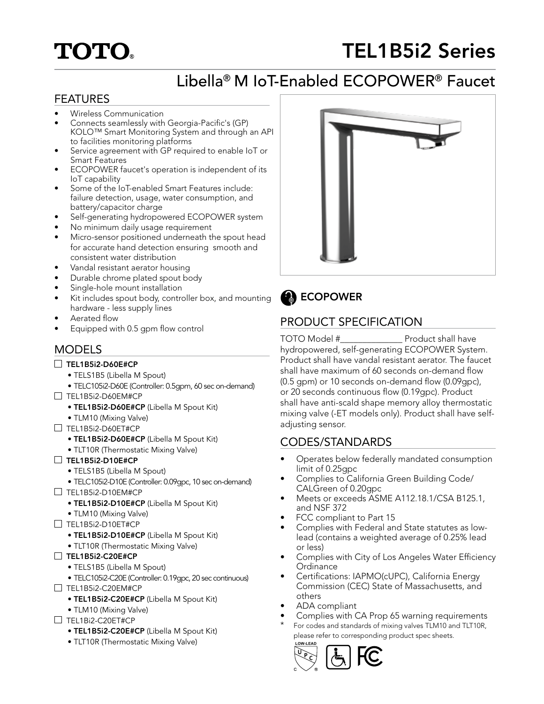# **TOTO®**

# TEL1B5i2 Series

# Libella® M IoT-Enabled ECOPOWER® Faucet

## FEATURES

- Wireless Communication
- Connects seamlessly with Georgia-Pacific's (GP) KOLO™ Smart Monitoring System and through an API to facilities monitoring platforms
- Service agreement with GP required to enable IoT or Smart Features
- ECOPOWER faucet's operation is independent of its IoT capability
- Some of the IoT-enabled Smart Features include: failure detection, usage, water consumption, and battery/capacitor charge
- Self-generating hydropowered ECOPOWER system
- No minimum daily usage requirement
- Micro-sensor positioned underneath the spout head for accurate hand detection ensuring smooth and consistent water distribution
- Vandal resistant aerator housing
- Durable chrome plated spout body
- Single-hole mount installation
- Kit includes spout body, controller box, and mounting hardware - less supply lines
- Aerated flow
- Equipped with 0.5 gpm flow control

## **MODELS**

#### $\Box$  TEL1B5i2-D60E#CP

- TELS1B5 (Libella M Spout)
- TELC105i2-D60E (Controller: 0.5gpm, 60 sec on-demand)
- $\Box$  TEL1B5i2-D60EM#CP
	- TEL1B5i2-D60E#CP (Libella M Spout Kit)
	- TLM10 (Mixing Valve)
- TEL1B5i2-D60ET#CP
	- TEL1B5i2-D60E#CP (Libella M Spout Kit)
	- TLT10R (Thermostatic Mixing Valve)

#### $\Box$  TEL1B5i2-D10E#CP

- TELS1B5 (Libella M Spout)
- TELC105i2-D10E (Controller: 0.09gpc, 10 sec on-demand)  $\Box$  TEL1B5i2-D10EM#CP
	- TEL1B5i2-D10E#CP (Libella M Spout Kit)
	- TLM10 (Mixing Valve)
- TEL1B5i2-D10ET#CP
	- TEL1B5i2-D10E#CP (Libella M Spout Kit)
	- TLT10R (Thermostatic Mixing Valve)
- TEL1B5i2-C20E#CP
	- TELS1B5 (Libella M Spout)
	- TELC105i2-C20E (Controller: 0.19gpc, 20 sec continuous)
- $\Box$  TEL1B5i2-C20EM#CP
	- TEL1B5i2-C20E#CP (Libella M Spout Kit)
	- TLM10 (Mixing Valve)
- $\Box$  TEL1Bi2-C20ET#CP
	- TEL1B5i2-C20E#CP (Libella M Spout Kit)
	- TLT10R (Thermostatic Mixing Valve)



ECOPOWER  $\mathbf{a}$ 

## PRODUCT SPECIFICATION

TOTO Model #\_\_\_\_\_\_\_\_\_\_\_\_\_\_ Product shall have hydropowered, self-generating ECOPOWER System. Product shall have vandal resistant aerator. The faucet shall have maximum of 60 seconds on-demand flow (0.5 gpm) or 10 seconds on-demand flow (0.09gpc), or 20 seconds continuous flow (0.19gpc). Product shall have anti-scald shape memory alloy thermostatic mixing valve (-ET models only). Product shall have selfadjusting sensor.

### CODES/STANDARDS

- Operates below federally mandated consumption limit of 0.25gpc
- Complies to California Green Building Code/ CALGreen of 0.20gpc
- Meets or exceeds ASME A112.18.1/CSA B125.1, and NSF 372
- FCC compliant to Part 15
- Complies with Federal and State statutes as lowlead (contains a weighted average of 0.25% lead or less)
- Complies with City of Los Angeles Water Efficiency **Ordinance**
- Certifications: IAPMO(cUPC), California Energy Commission (CEC) State of Massachusetts, and others
- ADA compliant
- Complies with CA Prop 65 warning requirements
- For codes and standards of mixing valves TLM10 and TLT10R, please refer to corresponding product spec sheets.